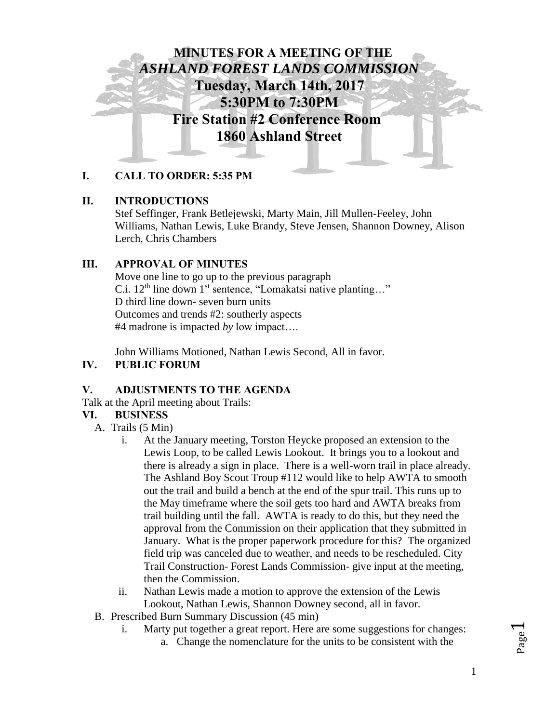

## **I. CALL TO ORDER: 5:35 PM**

## **II. INTRODUCTIONS**

Stef Seffinger, Frank Betlejewski, Marty Main, Jill Mullen-Feeley, John Williams, Nathan Lewis, Luke Brandy, Steve Jensen, Shannon Downey, Alison Lerch, Chris Chambers

# **III. APPROVAL OF MINUTES**

Move one line to go up to the previous paragraph C.i.  $12<sup>th</sup>$  line down  $1<sup>st</sup>$  sentence, "Lomakatsi native planting..." D third line down- seven burn units Outcomes and trends #2: southerly aspects #4 madrone is impacted *by* low impact….

John Williams Motioned, Nathan Lewis Second, All in favor.

## **IV. PUBLIC FORUM**

## **V. ADJUSTMENTS TO THE AGENDA**

Talk at the April meeting about Trails:

## **VI. BUSINESS**

A. Trails (5 Min)

- i. At the January meeting, Torston Heycke proposed an extension to the Lewis Loop, to be called Lewis Lookout. It brings you to a lookout and there is already a sign in place. There is a well-worn trail in place already. The Ashland Boy Scout Troup #112 would like to help AWTA to smooth out the trail and build a bench at the end of the spur trail. This runs up to the May timeframe where the soil gets too hard and AWTA breaks from trail building until the fall. AWTA is ready to do this, but they need the approval from the Commission on their application that they submitted in January. What is the proper paperwork procedure for this? The organized field trip was canceled due to weather, and needs to be rescheduled. City Trail Construction- Forest Lands Commission- give input at the meeting, then the Commission.
- ii. Nathan Lewis made a motion to approve the extension of the Lewis Lookout, Nathan Lewis, Shannon Downey second, all in favor.
- B. Prescribed Burn Summary Discussion (45 min)
	- i. Marty put together a great report. Here are some suggestions for changes: a. Change the nomenclature for the units to be consistent with the

Page  $\overline{\phantom{0}}$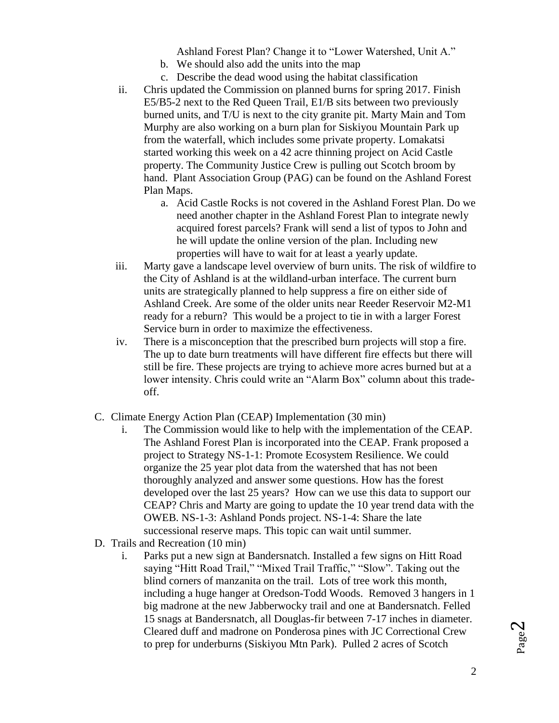Ashland Forest Plan? Change it to "Lower Watershed, Unit A."

- b. We should also add the units into the map
- c. Describe the dead wood using the habitat classification
- ii. Chris updated the Commission on planned burns for spring 2017. Finish E5/B5-2 next to the Red Queen Trail, E1/B sits between two previously burned units, and T/U is next to the city granite pit. Marty Main and Tom Murphy are also working on a burn plan for Siskiyou Mountain Park up from the waterfall, which includes some private property. Lomakatsi started working this week on a 42 acre thinning project on Acid Castle property. The Community Justice Crew is pulling out Scotch broom by hand. Plant Association Group (PAG) can be found on the Ashland Forest Plan Maps.
	- a. Acid Castle Rocks is not covered in the Ashland Forest Plan. Do we need another chapter in the Ashland Forest Plan to integrate newly acquired forest parcels? Frank will send a list of typos to John and he will update the online version of the plan. Including new properties will have to wait for at least a yearly update.
- iii. Marty gave a landscape level overview of burn units. The risk of wildfire to the City of Ashland is at the wildland-urban interface. The current burn units are strategically planned to help suppress a fire on either side of Ashland Creek. Are some of the older units near Reeder Reservoir M2-M1 ready for a reburn? This would be a project to tie in with a larger Forest Service burn in order to maximize the effectiveness.
- iv. There is a misconception that the prescribed burn projects will stop a fire. The up to date burn treatments will have different fire effects but there will still be fire. These projects are trying to achieve more acres burned but at a lower intensity. Chris could write an "Alarm Box" column about this tradeoff.
- C. Climate Energy Action Plan (CEAP) Implementation (30 min)
	- i. The Commission would like to help with the implementation of the CEAP. The Ashland Forest Plan is incorporated into the CEAP. Frank proposed a project to Strategy NS-1-1: Promote Ecosystem Resilience. We could organize the 25 year plot data from the watershed that has not been thoroughly analyzed and answer some questions. How has the forest developed over the last 25 years? How can we use this data to support our CEAP? Chris and Marty are going to update the 10 year trend data with the OWEB. NS-1-3: Ashland Ponds project. NS-1-4: Share the late successional reserve maps. This topic can wait until summer.
- D. Trails and Recreation (10 min)
	- i. Parks put a new sign at Bandersnatch. Installed a few signs on Hitt Road saying "Hitt Road Trail," "Mixed Trail Traffic," "Slow". Taking out the blind corners of manzanita on the trail. Lots of tree work this month, including a huge hanger at Oredson-Todd Woods. Removed 3 hangers in 1 big madrone at the new Jabberwocky trail and one at Bandersnatch. Felled 15 snags at Bandersnatch, all Douglas-fir between 7-17 inches in diameter. Cleared duff and madrone on Ponderosa pines with JC Correctional Crew to prep for underburns (Siskiyou Mtn Park). Pulled 2 acres of Scotch

Page  $\mathrel{\sim}$